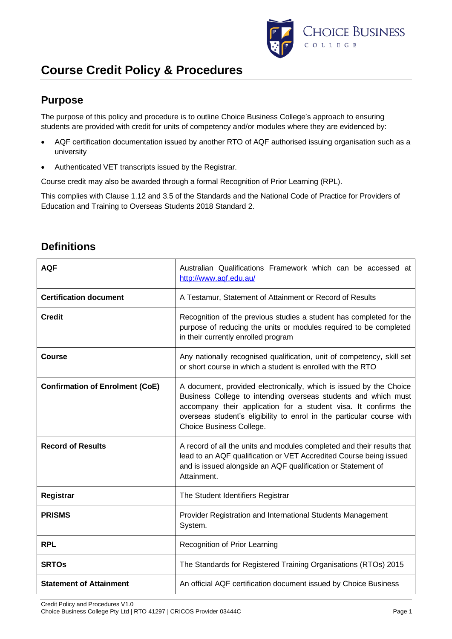

### **Purpose**

The purpose of this policy and procedure is to outline Choice Business College's approach to ensuring students are provided with credit for units of competency and/or modules where they are evidenced by:

- AQF certification documentation issued by another RTO of AQF authorised issuing organisation such as a university
- Authenticated VET transcripts issued by the Registrar.

Course credit may also be awarded through a formal Recognition of Prior Learning (RPL).

This complies with Clause 1.12 and 3.5 of the Standards and the National Code of Practice for Providers of Education and Training to Overseas Students 2018 Standard 2.

| <b>AQF</b>                             | Australian Qualifications Framework which can be accessed at<br>http://www.aqf.edu.au/                                                                                                                                                                                                                       |  |
|----------------------------------------|--------------------------------------------------------------------------------------------------------------------------------------------------------------------------------------------------------------------------------------------------------------------------------------------------------------|--|
| <b>Certification document</b>          | A Testamur, Statement of Attainment or Record of Results                                                                                                                                                                                                                                                     |  |
| <b>Credit</b>                          | Recognition of the previous studies a student has completed for the<br>purpose of reducing the units or modules required to be completed<br>in their currently enrolled program                                                                                                                              |  |
| Course                                 | Any nationally recognised qualification, unit of competency, skill set<br>or short course in which a student is enrolled with the RTO                                                                                                                                                                        |  |
| <b>Confirmation of Enrolment (CoE)</b> | A document, provided electronically, which is issued by the Choice<br>Business College to intending overseas students and which must<br>accompany their application for a student visa. It confirms the<br>overseas student's eligibility to enrol in the particular course with<br>Choice Business College. |  |
| <b>Record of Results</b>               | A record of all the units and modules completed and their results that<br>lead to an AQF qualification or VET Accredited Course being issued<br>and is issued alongside an AQF qualification or Statement of<br>Attainment.                                                                                  |  |
| Registrar                              | The Student Identifiers Registrar                                                                                                                                                                                                                                                                            |  |
| <b>PRISMS</b>                          | Provider Registration and International Students Management<br>System.                                                                                                                                                                                                                                       |  |
| <b>RPL</b>                             | Recognition of Prior Learning                                                                                                                                                                                                                                                                                |  |
| <b>SRTOs</b>                           | The Standards for Registered Training Organisations (RTOs) 2015                                                                                                                                                                                                                                              |  |
| <b>Statement of Attainment</b>         | An official AQF certification document issued by Choice Business                                                                                                                                                                                                                                             |  |

## **Definitions**

Credit Policy and Procedures V1.0 Choice Business College Pty Ltd | RTO 41297 | CRICOS Provider 03444C Page 1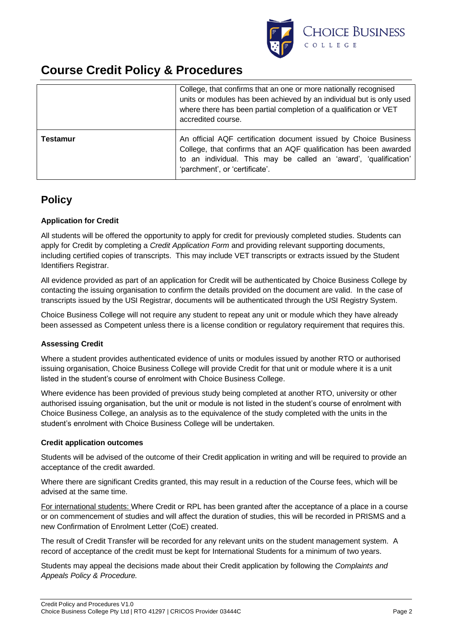

|                 | College, that confirms that an one or more nationally recognised<br>units or modules has been achieved by an individual but is only used<br>where there has been partial completion of a qualification or VET<br>accredited course.         |  |
|-----------------|---------------------------------------------------------------------------------------------------------------------------------------------------------------------------------------------------------------------------------------------|--|
| <b>Testamur</b> | An official AQF certification document issued by Choice Business<br>College, that confirms that an AQF qualification has been awarded<br>to an individual. This may be called an 'award', 'qualification'<br>'parchment', or 'certificate'. |  |

### **Policy**

#### **Application for Credit**

All students will be offered the opportunity to apply for credit for previously completed studies. Students can apply for Credit by completing a *Credit Application Form* and providing relevant supporting documents, including certified copies of transcripts. This may include VET transcripts or extracts issued by the Student Identifiers Registrar.

All evidence provided as part of an application for Credit will be authenticated by Choice Business College by contacting the issuing organisation to confirm the details provided on the document are valid. In the case of transcripts issued by the USI Registrar, documents will be authenticated through the USI Registry System.

Choice Business College will not require any student to repeat any unit or module which they have already been assessed as Competent unless there is a license condition or regulatory requirement that requires this.

#### **Assessing Credit**

Where a student provides authenticated evidence of units or modules issued by another RTO or authorised issuing organisation, Choice Business College will provide Credit for that unit or module where it is a unit listed in the student's course of enrolment with Choice Business College.

Where evidence has been provided of previous study being completed at another RTO, university or other authorised issuing organisation, but the unit or module is not listed in the student's course of enrolment with Choice Business College, an analysis as to the equivalence of the study completed with the units in the student's enrolment with Choice Business College will be undertaken.

#### **Credit application outcomes**

Students will be advised of the outcome of their Credit application in writing and will be required to provide an acceptance of the credit awarded.

Where there are significant Credits granted, this may result in a reduction of the Course fees, which will be advised at the same time.

For international students: Where Credit or RPL has been granted after the acceptance of a place in a course or on commencement of studies and will affect the duration of studies, this will be recorded in PRISMS and a new Confirmation of Enrolment Letter (CoE) created.

The result of Credit Transfer will be recorded for any relevant units on the student management system. A record of acceptance of the credit must be kept for International Students for a minimum of two years.

Students may appeal the decisions made about their Credit application by following the *Complaints and Appeals Policy & Procedure.*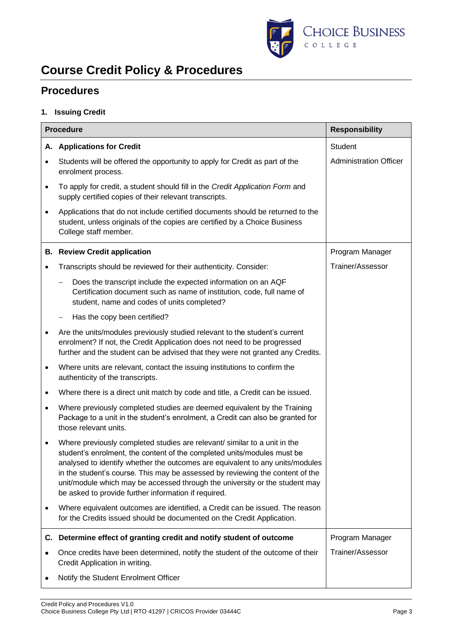

### **Procedures**

#### **1. Issuing Credit**

|           | <b>Procedure</b><br><b>Responsibility</b>                                                                                                                                                                                                                                                                                                                                                                                                                     |                               |  |
|-----------|---------------------------------------------------------------------------------------------------------------------------------------------------------------------------------------------------------------------------------------------------------------------------------------------------------------------------------------------------------------------------------------------------------------------------------------------------------------|-------------------------------|--|
|           | A. Applications for Credit                                                                                                                                                                                                                                                                                                                                                                                                                                    | <b>Student</b>                |  |
|           | Students will be offered the opportunity to apply for Credit as part of the<br>enrolment process.                                                                                                                                                                                                                                                                                                                                                             | <b>Administration Officer</b> |  |
| $\bullet$ | To apply for credit, a student should fill in the Credit Application Form and<br>supply certified copies of their relevant transcripts.                                                                                                                                                                                                                                                                                                                       |                               |  |
| $\bullet$ | Applications that do not include certified documents should be returned to the<br>student, unless originals of the copies are certified by a Choice Business<br>College staff member.                                                                                                                                                                                                                                                                         |                               |  |
|           | <b>B.</b> Review Credit application                                                                                                                                                                                                                                                                                                                                                                                                                           | Program Manager               |  |
|           | Transcripts should be reviewed for their authenticity. Consider:                                                                                                                                                                                                                                                                                                                                                                                              | Trainer/Assessor              |  |
|           | Does the transcript include the expected information on an AQF<br>Certification document such as name of institution, code, full name of<br>student, name and codes of units completed?                                                                                                                                                                                                                                                                       |                               |  |
|           | Has the copy been certified?                                                                                                                                                                                                                                                                                                                                                                                                                                  |                               |  |
| $\bullet$ | Are the units/modules previously studied relevant to the student's current<br>enrolment? If not, the Credit Application does not need to be progressed<br>further and the student can be advised that they were not granted any Credits.                                                                                                                                                                                                                      |                               |  |
| $\bullet$ | Where units are relevant, contact the issuing institutions to confirm the<br>authenticity of the transcripts.                                                                                                                                                                                                                                                                                                                                                 |                               |  |
| ٠         | Where there is a direct unit match by code and title, a Credit can be issued.                                                                                                                                                                                                                                                                                                                                                                                 |                               |  |
| $\bullet$ | Where previously completed studies are deemed equivalent by the Training<br>Package to a unit in the student's enrolment, a Credit can also be granted for<br>those relevant units.                                                                                                                                                                                                                                                                           |                               |  |
| $\bullet$ | Where previously completed studies are relevant/ similar to a unit in the<br>student's enrolment, the content of the completed units/modules must be<br>analysed to identify whether the outcomes are equivalent to any units/modules<br>in the student's course. This may be assessed by reviewing the content of the<br>unit/module which may be accessed through the university or the student may<br>be asked to provide further information if required. |                               |  |
| ٠         | Where equivalent outcomes are identified, a Credit can be issued. The reason<br>for the Credits issued should be documented on the Credit Application.                                                                                                                                                                                                                                                                                                        |                               |  |
| C.        | Determine effect of granting credit and notify student of outcome                                                                                                                                                                                                                                                                                                                                                                                             | Program Manager               |  |
|           | Once credits have been determined, notify the student of the outcome of their<br>Credit Application in writing.                                                                                                                                                                                                                                                                                                                                               | Trainer/Assessor              |  |
|           | Notify the Student Enrolment Officer                                                                                                                                                                                                                                                                                                                                                                                                                          |                               |  |